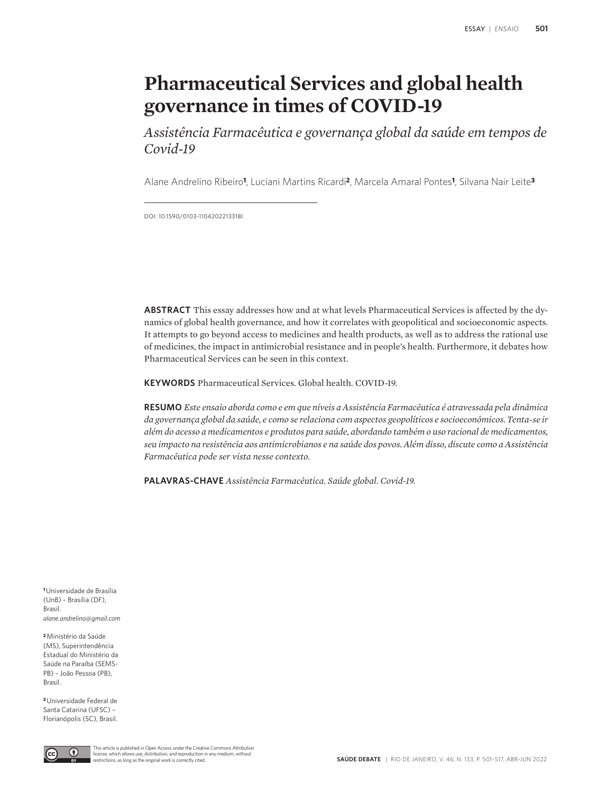# **Pharmaceutical Services and global health governance in times of COVID-19**

*Assistência Farmacêutica e governança global da saúde em tempos de Covid-19*

Alane Andrelino Ribeiro**1**, Luciani Martins Ricardi**2**, Marcela Amaral Pontes**1**, Silvana Nair Leite**<sup>3</sup>**

DOI: 10.1590/0103-1104202213318I

**ABSTRACT** This essay addresses how and at what levels Pharmaceutical Services is affected by the dynamics of global health governance, and how it correlates with geopolitical and socioeconomic aspects. It attempts to go beyond access to medicines and health products, as well as to address the rational use of medicines, the impact in antimicrobial resistance and in people's health. Furthermore, it debates how Pharmaceutical Services can be seen in this context.

**KEYWORDS** Pharmaceutical Services. Global health. COVID-19.

**RESUMO** *Este ensaio aborda como e em que níveis a Assistência Farmacêutica é atravessada pela dinâmica da governança global da saúde, e como se relaciona com aspectos geopolíticos e socioeconômicos. Tenta-se ir além do acesso a medicamentos e produtos para saúde, abordando também o uso racional de medicamentos, seu impacto na resistência aos antimicrobianos e na saúde dos povos. Além disso, discute como a Assistência Farmacêutica pode ser vista nesse contexto.*

**PALAVRAS-CHAVE** *Assistência Farmacêutica. Saúde global. Covid-19.*

**<sup>1</sup>**Universidade de Brasília (UnB) – Brasília (DF), Brasil. *alane.andrelino@gmail.com*

**<sup>2</sup>**Ministério da Saúde (MS), Superintendência Estadual do Ministério da Saúde na Paraíba (SEMS-PB) – João Pessoa (PB), Brasil.

**<sup>3</sup>**Universidade Federal de Santa Catarina (UFSC) – Florianópolis (SC), Brasil.

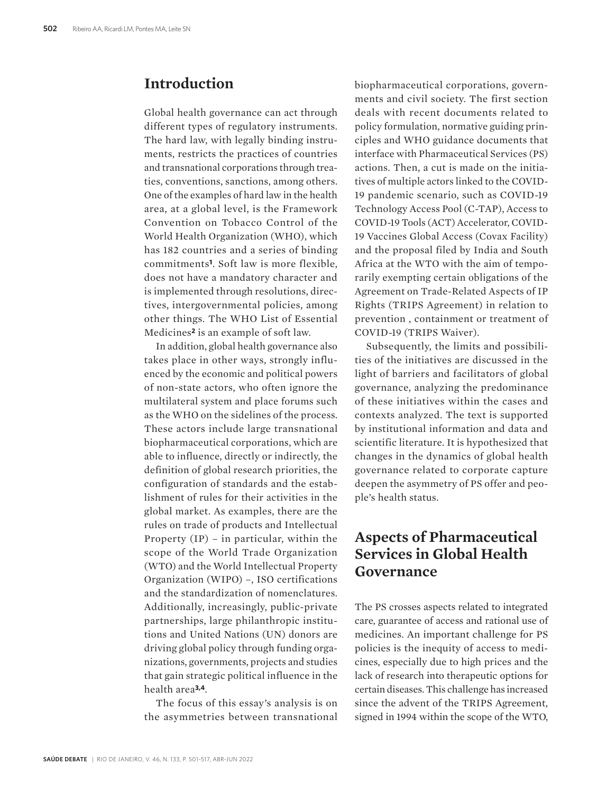### **Introduction**

Global health governance can act through different types of regulatory instruments. The hard law, with legally binding instruments, restricts the practices of countries and transnational corporations through treaties, conventions, sanctions, among others. One of the examples of hard law in the health area, at a global level, is the Framework Convention on Tobacco Control of the World Health Organization (WHO), which has 182 countries and a series of binding commitments**1**. Soft law is more flexible, does not have a mandatory character and is implemented through resolutions, directives, intergovernmental policies, among other things. The WHO List of Essential Medicines**2** is an example of soft law.

In addition, global health governance also takes place in other ways, strongly influenced by the economic and political powers of non-state actors, who often ignore the multilateral system and place forums such as the WHO on the sidelines of the process. These actors include large transnational biopharmaceutical corporations, which are able to influence, directly or indirectly, the definition of global research priorities, the configuration of standards and the establishment of rules for their activities in the global market. As examples, there are the rules on trade of products and Intellectual Property (IP) – in particular, within the scope of the World Trade Organization (WTO) and the World Intellectual Property Organization (WIPO) –, ISO certifications and the standardization of nomenclatures. Additionally, increasingly, public-private partnerships, large philanthropic institutions and United Nations (UN) donors are driving global policy through funding organizations, governments, projects and studies that gain strategic political influence in the health area**3,4**.

The focus of this essay's analysis is on the asymmetries between transnational biopharmaceutical corporations, governments and civil society. The first section deals with recent documents related to policy formulation, normative guiding principles and WHO guidance documents that interface with Pharmaceutical Services (PS) actions. Then, a cut is made on the initiatives of multiple actors linked to the COVID-19 pandemic scenario, such as COVID-19 Technology Access Pool (C-TAP), Access to COVID-19 Tools (ACT) Accelerator, COVID-19 Vaccines Global Access (Covax Facility) and the proposal filed by India and South Africa at the WTO with the aim of temporarily exempting certain obligations of the Agreement on Trade-Related Aspects of IP Rights (TRIPS Agreement) in relation to prevention , containment or treatment of COVID-19 (TRIPS Waiver).

Subsequently, the limits and possibilities of the initiatives are discussed in the light of barriers and facilitators of global governance, analyzing the predominance of these initiatives within the cases and contexts analyzed. The text is supported by institutional information and data and scientific literature. It is hypothesized that changes in the dynamics of global health governance related to corporate capture deepen the asymmetry of PS offer and people's health status.

# **Aspects of Pharmaceutical Services in Global Health Governance**

The PS crosses aspects related to integrated care, guarantee of access and rational use of medicines. An important challenge for PS policies is the inequity of access to medicines, especially due to high prices and the lack of research into therapeutic options for certain diseases. This challenge has increased since the advent of the TRIPS Agreement, signed in 1994 within the scope of the WTO,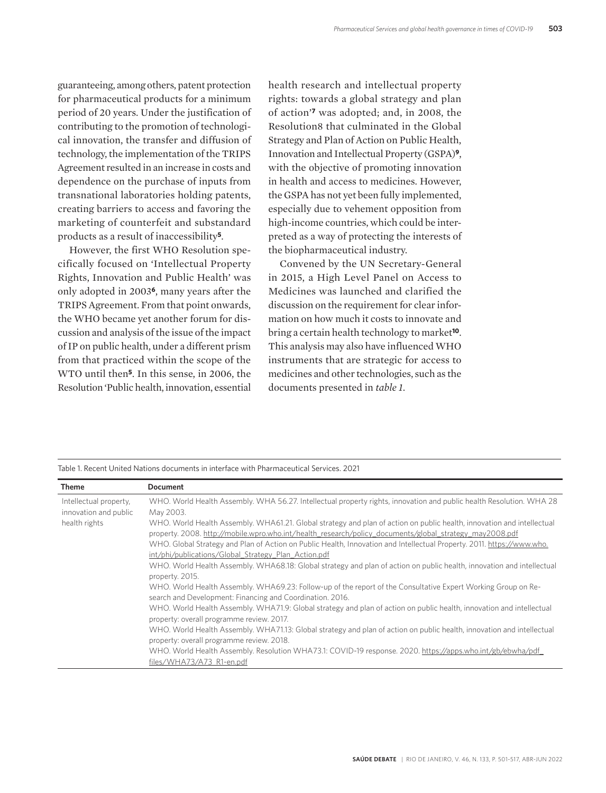guaranteeing, among others, patent protection for pharmaceutical products for a minimum period of 20 years. Under the justification of contributing to the promotion of technological innovation, the transfer and diffusion of technology, the implementation of the TRIPS Agreement resulted in an increase in costs and dependence on the purchase of inputs from transnational laboratories holding patents, creating barriers to access and favoring the marketing of counterfeit and substandard products as a result of inaccessibility**5**.

However, the first WHO Resolution specifically focused on 'Intellectual Property Rights, Innovation and Public Health' was only adopted in 2003**6**, many years after the TRIPS Agreement. From that point onwards, the WHO became yet another forum for discussion and analysis of the issue of the impact of IP on public health, under a different prism from that practiced within the scope of the WTO until then**5**. In this sense, in 2006, the Resolution 'Public health, innovation, essential

health research and intellectual property rights: towards a global strategy and plan of action'**7** was adopted; and, in 2008, the Resolution8 that culminated in the Global Strategy and Plan of Action on Public Health, Innovation and Intellectual Property (GSPA)**9**, with the objective of promoting innovation in health and access to medicines. However, the GSPA has not yet been fully implemented, especially due to vehement opposition from high-income countries, which could be interpreted as a way of protecting the interests of the biopharmaceutical industry.

Convened by the UN Secretary-General in 2015, a High Level Panel on Access to Medicines was launched and clarified the discussion on the requirement for clear information on how much it costs to innovate and bring a certain health technology to market**10**. This analysis may also have influenced WHO instruments that are strategic for access to medicines and other technologies, such as the documents presented in *table 1*.

| Table 1. Recent United Nations documents in interface with Pharmaceutical Services. 2021 |  |
|------------------------------------------------------------------------------------------|--|
|------------------------------------------------------------------------------------------|--|

| <b>Theme</b>                                    | <b>Document</b>                                                                                                                                                    |
|-------------------------------------------------|--------------------------------------------------------------------------------------------------------------------------------------------------------------------|
| Intellectual property,<br>innovation and public | WHO. World Health Assembly. WHA 56.27. Intellectual property rights, innovation and public health Resolution. WHA 28<br>May 2003.                                  |
| health rights                                   | WHO. World Health Assembly. WHA61.21. Global strategy and plan of action on public health, innovation and intellectual                                             |
|                                                 | property. 2008. http://mobile.wpro.who.int/health_research/policy_documents/global_strategy_may2008.pdf                                                            |
|                                                 | WHO. Global Strategy and Plan of Action on Public Health, Innovation and Intellectual Property. 2011. https://www.who.                                             |
|                                                 | int/phi/publications/Global Strategy Plan Action.pdf                                                                                                               |
|                                                 | WHO. World Health Assembly. WHA68.18: Global strategy and plan of action on public health, innovation and intellectual                                             |
|                                                 | property. 2015.                                                                                                                                                    |
|                                                 | WHO. World Health Assembly. WHA69.23: Follow-up of the report of the Consultative Expert Working Group on Re-                                                      |
|                                                 | search and Development: Financing and Coordination. 2016.                                                                                                          |
|                                                 | WHO. World Health Assembly. WHA71.9: Global strategy and plan of action on public health, innovation and intellectual<br>property: overall programme review. 2017. |
|                                                 | WHO. World Health Assembly. WHA71.13: Global strategy and plan of action on public health, innovation and intellectual                                             |
|                                                 | property: overall programme review. 2018.                                                                                                                          |
|                                                 | WHO. World Health Assembly. Resolution WHA73.1: COVID-19 response. 2020. https://apps.who.int/gb/ebwha/pdf                                                         |
|                                                 | files/WHA73/A73 R1-en.pdf                                                                                                                                          |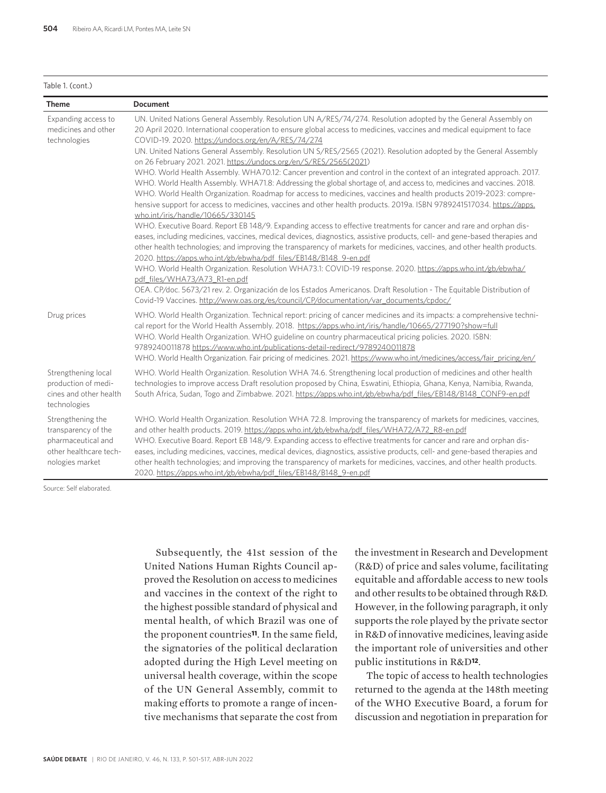#### Table 1. (cont.)

| <b>Theme</b>                                                                                                | <b>Document</b>                                                                                                                                                                                                                                                                                                                                                                                                                                                                                                                                                                                                                                                                                                                                                                                                                                                                                                                                                                                                                                                                                                                                                                                                                                                                                                                                                                                                                                                                                                                                                                                                              |
|-------------------------------------------------------------------------------------------------------------|------------------------------------------------------------------------------------------------------------------------------------------------------------------------------------------------------------------------------------------------------------------------------------------------------------------------------------------------------------------------------------------------------------------------------------------------------------------------------------------------------------------------------------------------------------------------------------------------------------------------------------------------------------------------------------------------------------------------------------------------------------------------------------------------------------------------------------------------------------------------------------------------------------------------------------------------------------------------------------------------------------------------------------------------------------------------------------------------------------------------------------------------------------------------------------------------------------------------------------------------------------------------------------------------------------------------------------------------------------------------------------------------------------------------------------------------------------------------------------------------------------------------------------------------------------------------------------------------------------------------------|
| Expanding access to<br>medicines and other<br>technologies                                                  | UN. United Nations General Assembly. Resolution UN A/RES/74/274. Resolution adopted by the General Assembly on<br>20 April 2020. International cooperation to ensure global access to medicines, vaccines and medical equipment to face<br>COVID-19. 2020. https://undocs.org/en/A/RES/74/274<br>UN. United Nations General Assembly. Resolution UN S/RES/2565 (2021). Resolution adopted by the General Assembly<br>on 26 February 2021. 2021. https://undocs.org/en/S/RES/2565(2021)<br>WHO. World Health Assembly. WHA70.12: Cancer prevention and control in the context of an integrated approach. 2017.<br>WHO. World Health Assembly. WHA71.8: Addressing the global shortage of, and access to, medicines and vaccines. 2018.<br>WHO. World Health Organization. Roadmap for access to medicines, vaccines and health products 2019-2023: compre-<br>hensive support for access to medicines, vaccines and other health products. 2019a. ISBN 9789241517034. https://apps.<br>who.int/iris/handle/10665/330145<br>WHO. Executive Board. Report EB 148/9. Expanding access to effective treatments for cancer and rare and orphan dis-<br>eases, including medicines, vaccines, medical devices, diagnostics, assistive products, cell- and gene-based therapies and<br>other health technologies; and improving the transparency of markets for medicines, vaccines, and other health products.<br>2020. https://apps.who.int/gb/ebwha/pdf_files/EB148/B148_9-en.pdf<br>WHO. World Health Organization. Resolution WHA73.1: COVID-19 response. 2020. https://apps.who.int/gb/ebwha/<br>pdf files/WHA73/A73 R1-en.pdf |
| Drug prices                                                                                                 | OEA. CP/doc. 5673/21 rev. 2. Organización de los Estados Americanos. Draft Resolution - The Equitable Distribution of<br>Covid-19 Vaccines. http://www.oas.org/es/council/CP/documentation/var_documents/cpdoc/<br>WHO. World Health Organization. Technical report: pricing of cancer medicines and its impacts: a comprehensive techni-<br>cal report for the World Health Assembly. 2018. https://apps.who.int/iris/handle/10665/277190?show=full<br>WHO. World Health Organization. WHO guideline on country pharmaceutical pricing policies. 2020. ISBN:<br>9789240011878 https://www.who.int/publications-detail-redirect/9789240011878<br>WHO. World Health Organization. Fair pricing of medicines. 2021. https://www.who.int/medicines/access/fair_pricing/en/                                                                                                                                                                                                                                                                                                                                                                                                                                                                                                                                                                                                                                                                                                                                                                                                                                                      |
| Strengthening local<br>production of medi-<br>cines and other health<br>technologies                        | WHO. World Health Organization. Resolution WHA 74.6. Strengthening local production of medicines and other health<br>technologies to improve access Draft resolution proposed by China, Eswatini, Ethiopia, Ghana, Kenya, Namibia, Rwanda,<br>South Africa, Sudan, Togo and Zimbabwe. 2021. https://apps.who.int/gb/ebwha/pdf_files/EB148/B148_CONF9-en.pdf                                                                                                                                                                                                                                                                                                                                                                                                                                                                                                                                                                                                                                                                                                                                                                                                                                                                                                                                                                                                                                                                                                                                                                                                                                                                  |
| Strengthening the<br>transparency of the<br>pharmaceutical and<br>other healthcare tech-<br>nologies market | WHO. World Health Organization. Resolution WHA 72.8. Improving the transparency of markets for medicines, vaccines,<br>and other health products. 2019. https://apps.who.int/gb/ebwha/pdf files/WHA72/A72 R8-en.pdf<br>WHO. Executive Board. Report EB 148/9. Expanding access to effective treatments for cancer and rare and orphan dis-<br>eases, including medicines, vaccines, medical devices, diagnostics, assistive products, cell- and gene-based therapies and<br>other health technologies; and improving the transparency of markets for medicines, vaccines, and other health products.<br>2020. https://apps.who.int/gb/ebwha/pdf_files/EB148/B148_9-en.pdf                                                                                                                                                                                                                                                                                                                                                                                                                                                                                                                                                                                                                                                                                                                                                                                                                                                                                                                                                    |

Source: Self elaborated.

Subsequently, the 41st session of the United Nations Human Rights Council approved the Resolution on access to medicines and vaccines in the context of the right to the highest possible standard of physical and mental health, of which Brazil was one of the proponent countries**11**. In the same field, the signatories of the political declaration adopted during the High Level meeting on universal health coverage, within the scope of the UN General Assembly, commit to making efforts to promote a range of incentive mechanisms that separate the cost from

the investment in Research and Development (R&D) of price and sales volume, facilitating equitable and affordable access to new tools and other results to be obtained through R&D. However, in the following paragraph, it only supports the role played by the private sector in R&D of innovative medicines, leaving aside the important role of universities and other public institutions in R&D**12**.

The topic of access to health technologies returned to the agenda at the 148th meeting of the WHO Executive Board, a forum for discussion and negotiation in preparation for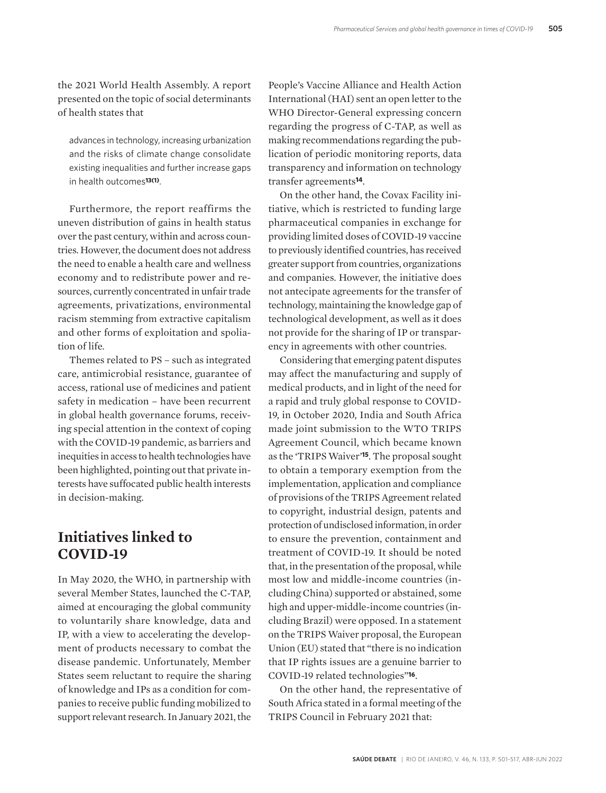the 2021 World Health Assembly. A report presented on the topic of social determinants of health states that

advances in technology, increasing urbanization and the risks of climate change consolidate existing inequalities and further increase gaps in health outcomes**13(1)**.

Furthermore, the report reaffirms the uneven distribution of gains in health status over the past century, within and across countries. However, the document does not address the need to enable a health care and wellness economy and to redistribute power and resources, currently concentrated in unfair trade agreements, privatizations, environmental racism stemming from extractive capitalism and other forms of exploitation and spoliation of life.

Themes related to PS – such as integrated care, antimicrobial resistance, guarantee of access, rational use of medicines and patient safety in medication – have been recurrent in global health governance forums, receiving special attention in the context of coping with the COVID-19 pandemic, as barriers and inequities in access to health technologies have been highlighted, pointing out that private interests have suffocated public health interests in decision-making.

# **Initiatives linked to COVID-19**

In May 2020, the WHO, in partnership with several Member States, launched the C-TAP, aimed at encouraging the global community to voluntarily share knowledge, data and IP, with a view to accelerating the development of products necessary to combat the disease pandemic. Unfortunately, Member States seem reluctant to require the sharing of knowledge and IPs as a condition for companies to receive public funding mobilized to support relevant research. In January 2021, the

People's Vaccine Alliance and Health Action International (HAI) sent an open letter to the WHO Director-General expressing concern regarding the progress of C-TAP, as well as making recommendations regarding the publication of periodic monitoring reports, data transparency and information on technology transfer agreements**14**.

On the other hand, the Covax Facility initiative, which is restricted to funding large pharmaceutical companies in exchange for providing limited doses of COVID-19 vaccine to previously identified countries, has received greater support from countries, organizations and companies. However, the initiative does not antecipate agreements for the transfer of technology, maintaining the knowledge gap of technological development, as well as it does not provide for the sharing of IP or transparency in agreements with other countries.

Considering that emerging patent disputes may affect the manufacturing and supply of medical products, and in light of the need for a rapid and truly global response to COVID-19, in October 2020, India and South Africa made joint submission to the WTO TRIPS Agreement Council, which became known as the 'TRIPS Waiver'**15**. The proposal sought to obtain a temporary exemption from the implementation, application and compliance of provisions of the TRIPS Agreement related to copyright, industrial design, patents and protection of undisclosed information, in order to ensure the prevention, containment and treatment of COVID-19. It should be noted that, in the presentation of the proposal, while most low and middle-income countries (including China) supported or abstained, some high and upper-middle-income countries (including Brazil) were opposed. In a statement on the TRIPS Waiver proposal, the European Union (EU) stated that "there is no indication that IP rights issues are a genuine barrier to COVID-19 related technologies"**16**.

On the other hand, the representative of South Africa stated in a formal meeting of the TRIPS Council in February 2021 that: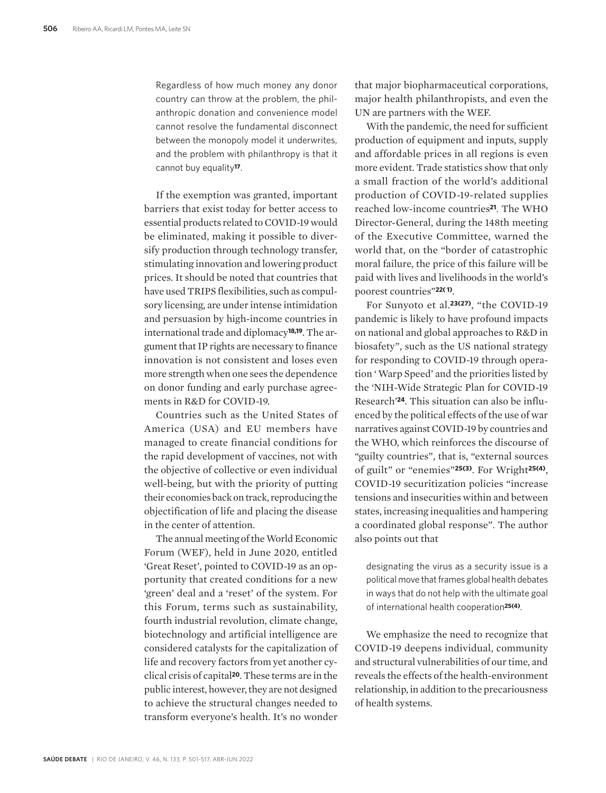Regardless of how much money any donor country can throw at the problem, the philanthropic donation and convenience model cannot resolve the fundamental disconnect between the monopoly model it underwrites, and the problem with philanthropy is that it cannot buy equality**17**.

If the exemption was granted, important barriers that exist today for better access to essential products related to COVID-19 would be eliminated, making it possible to diversify production through technology transfer, stimulating innovation and lowering product prices. It should be noted that countries that have used TRIPS flexibilities, such as compulsory licensing, are under intense intimidation and persuasion by high-income countries in international trade and diplomacy**18,19**. The argument that IP rights are necessary to finance innovation is not consistent and loses even more strength when one sees the dependence on donor funding and early purchase agreements in R&D for COVID-19.

Countries such as the United States of America (USA) and EU members have managed to create financial conditions for the rapid development of vaccines, not with the objective of collective or even individual well-being, but with the priority of putting their economies back on track, reproducing the objectification of life and placing the disease in the center of attention.

The annual meeting of the World Economic Forum (WEF), held in June 2020, entitled 'Great Reset', pointed to COVID-19 as an opportunity that created conditions for a new 'green' deal and a 'reset' of the system. For this Forum, terms such as sustainability, fourth industrial revolution, climate change, biotechnology and artificial intelligence are considered catalysts for the capitalization of life and recovery factors from yet another cyclical crisis of capital**20**. These terms are in the public interest, however, they are not designed to achieve the structural changes needed to transform everyone's health. It's no wonder

that major biopharmaceutical corporations, major health philanthropists, and even the UN are partners with the WEF.

With the pandemic, the need for sufficient production of equipment and inputs, supply and affordable prices in all regions is even more evident. Trade statistics show that only a small fraction of the world's additional production of COVID-19-related supplies reached low-income countries**21**. The WHO Director-General, during the 148th meeting of the Executive Committee, warned the world that, on the "border of catastrophic moral failure, the price of this failure will be paid with lives and livelihoods in the world's poorest countries"**22( 1)**.

For Sunyoto et al.**23(27)**, "the COVID-19 pandemic is likely to have profound impacts on national and global approaches to R&D in biosafety", such as the US national strategy for responding to COVID-19 through operation ' Warp Speed' and the priorities listed by the 'NIH-Wide Strategic Plan for COVID-19 Research'**24**. This situation can also be influenced by the political effects of the use of war narratives against COVID-19 by countries and the WHO, which reinforces the discourse of "guilty countries", that is, "external sources of guilt" or "enemies"**25(3)**. For Wright**25(4)**, COVID-19 securitization policies "increase tensions and insecurities within and between states, increasing inequalities and hampering a coordinated global response". The author also points out that

designating the virus as a security issue is a political move that frames global health debates in ways that do not help with the ultimate goal of international health cooperation**25(4)**.

We emphasize the need to recognize that COVID-19 deepens individual, community and structural vulnerabilities of our time, and reveals the effects of the health-environment relationship, in addition to the precariousness of health systems.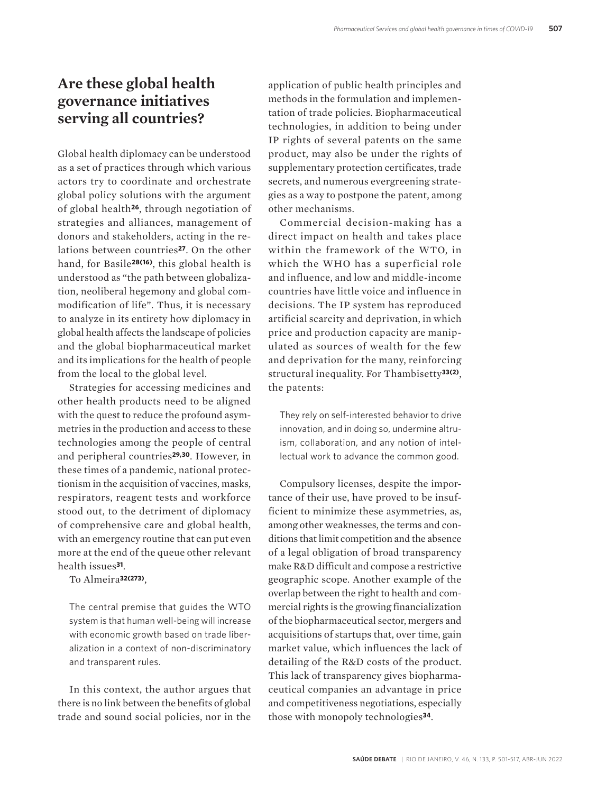# **Are these global health governance initiatives serving all countries?**

Global health diplomacy can be understood as a set of practices through which various actors try to coordinate and orchestrate global policy solutions with the argument of global health**26**, through negotiation of strategies and alliances, management of donors and stakeholders, acting in the relations between countries**27**. On the other hand, for Basile**28(16)**, this global health is understood as "the path between globalization, neoliberal hegemony and global commodification of life". Thus, it is necessary to analyze in its entirety how diplomacy in global health affects the landscape of policies and the global biopharmaceutical market and its implications for the health of people from the local to the global level.

Strategies for accessing medicines and other health products need to be aligned with the quest to reduce the profound asymmetries in the production and access to these technologies among the people of central and peripheral countries**29,30**. However, in these times of a pandemic, national protectionism in the acquisition of vaccines, masks, respirators, reagent tests and workforce stood out, to the detriment of diplomacy of comprehensive care and global health, with an emergency routine that can put even more at the end of the queue other relevant health issues**31**.

To Almeira**32(273)**,

The central premise that guides the WTO system is that human well-being will increase with economic growth based on trade liberalization in a context of non-discriminatory and transparent rules.

In this context, the author argues that there is no link between the benefits of global trade and sound social policies, nor in the application of public health principles and methods in the formulation and implementation of trade policies. Biopharmaceutical technologies, in addition to being under IP rights of several patents on the same product, may also be under the rights of supplementary protection certificates, trade secrets, and numerous evergreening strategies as a way to postpone the patent, among other mechanisms.

Commercial decision-making has a direct impact on health and takes place within the framework of the WTO, in which the WHO has a superficial role and influence, and low and middle-income countries have little voice and influence in decisions. The IP system has reproduced artificial scarcity and deprivation, in which price and production capacity are manipulated as sources of wealth for the few and deprivation for the many, reinforcing structural inequality. For Thambisetty**33(2)**, the patents:

They rely on self-interested behavior to drive innovation, and in doing so, undermine altruism, collaboration, and any notion of intellectual work to advance the common good.

Compulsory licenses, despite the importance of their use, have proved to be insufficient to minimize these asymmetries, as, among other weaknesses, the terms and conditions that limit competition and the absence of a legal obligation of broad transparency make R&D difficult and compose a restrictive geographic scope. Another example of the overlap between the right to health and commercial rights is the growing financialization of the biopharmaceutical sector, mergers and acquisitions of startups that, over time, gain market value, which influences the lack of detailing of the R&D costs of the product. This lack of transparency gives biopharmaceutical companies an advantage in price and competitiveness negotiations, especially those with monopoly technologies**34**.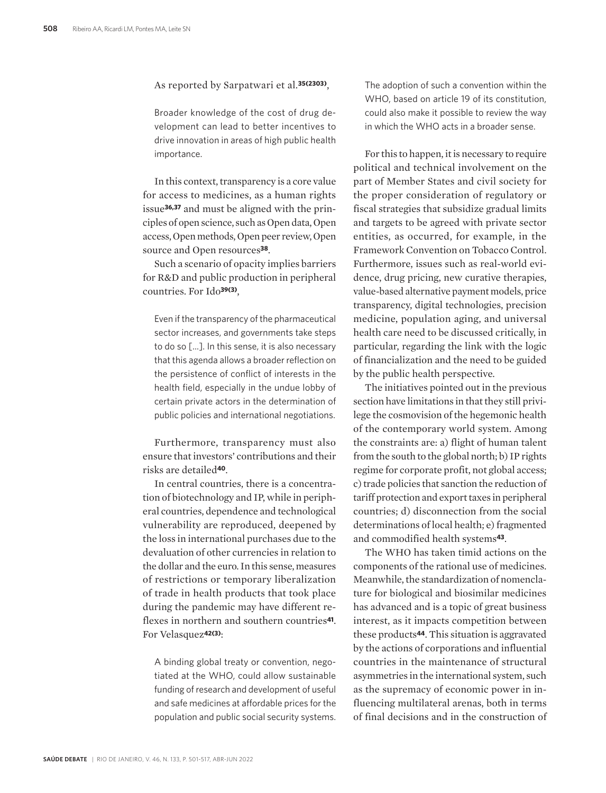#### As reported by Sarpatwari et al.**35(2303)**,

Broader knowledge of the cost of drug development can lead to better incentives to drive innovation in areas of high public health importance.

In this context, transparency is a core value for access to medicines, as a human rights issue**36,37** and must be aligned with the principles of open science, such as Open data, Open access, Open methods, Open peer review, Open source and Open resources**38**.

Such a scenario of opacity implies barriers for R&D and public production in peripheral countries. For Ido**39(3)**,

Even if the transparency of the pharmaceutical sector increases, and governments take steps to do so [...]. In this sense, it is also necessary that this agenda allows a broader reflection on the persistence of conflict of interests in the health field, especially in the undue lobby of certain private actors in the determination of public policies and international negotiations.

Furthermore, transparency must also ensure that investors' contributions and their risks are detailed**40**.

In central countries, there is a concentration of biotechnology and IP, while in peripheral countries, dependence and technological vulnerability are reproduced, deepened by the loss in international purchases due to the devaluation of other currencies in relation to the dollar and the euro. In this sense, measures of restrictions or temporary liberalization of trade in health products that took place during the pandemic may have different reflexes in northern and southern countries**41**. For Velasquez**42(3)**:

A binding global treaty or convention, negotiated at the WHO, could allow sustainable funding of research and development of useful and safe medicines at affordable prices for the population and public social security systems.

The adoption of such a convention within the WHO, based on article 19 of its constitution, could also make it possible to review the way in which the WHO acts in a broader sense.

For this to happen, it is necessary to require political and technical involvement on the part of Member States and civil society for the proper consideration of regulatory or fiscal strategies that subsidize gradual limits and targets to be agreed with private sector entities, as occurred, for example, in the Framework Convention on Tobacco Control. Furthermore, issues such as real-world evidence, drug pricing, new curative therapies, value-based alternative payment models, price transparency, digital technologies, precision medicine, population aging, and universal health care need to be discussed critically, in particular, regarding the link with the logic of financialization and the need to be guided by the public health perspective.

The initiatives pointed out in the previous section have limitations in that they still privilege the cosmovision of the hegemonic health of the contemporary world system. Among the constraints are: a) flight of human talent from the south to the global north; b) IP rights regime for corporate profit, not global access; c) trade policies that sanction the reduction of tariff protection and export taxes in peripheral countries; d) disconnection from the social determinations of local health; e) fragmented and commodified health systems**43**.

The WHO has taken timid actions on the components of the rational use of medicines. Meanwhile, the standardization of nomenclature for biological and biosimilar medicines has advanced and is a topic of great business interest, as it impacts competition between these products**44**. This situation is aggravated by the actions of corporations and influential countries in the maintenance of structural asymmetries in the international system, such as the supremacy of economic power in influencing multilateral arenas, both in terms of final decisions and in the construction of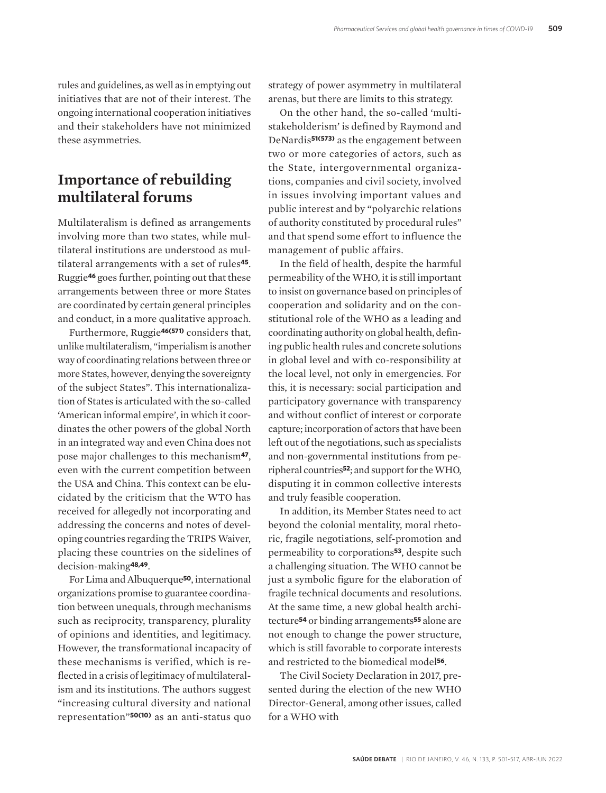rules and guidelines, as well as in emptying out initiatives that are not of their interest. The ongoing international cooperation initiatives and their stakeholders have not minimized these asymmetries.

# **Importance of rebuilding multilateral forums**

Multilateralism is defined as arrangements involving more than two states, while multilateral institutions are understood as multilateral arrangements with a set of rules**45**. Ruggie**46** goes further, pointing out that these arrangements between three or more States are coordinated by certain general principles and conduct, in a more qualitative approach.

Furthermore, Ruggie**46(571)** considers that, unlike multilateralism, "imperialism is another way of coordinating relations between three or more States, however, denying the sovereignty of the subject States". This internationalization of States is articulated with the so-called 'American informal empire', in which it coordinates the other powers of the global North in an integrated way and even China does not pose major challenges to this mechanism**47**, even with the current competition between the USA and China. This context can be elucidated by the criticism that the WTO has received for allegedly not incorporating and addressing the concerns and notes of developing countries regarding the TRIPS Waiver, placing these countries on the sidelines of decision-making**48,49**.

For Lima and Albuquerque**50**, international organizations promise to guarantee coordination between unequals, through mechanisms such as reciprocity, transparency, plurality of opinions and identities, and legitimacy. However, the transformational incapacity of these mechanisms is verified, which is reflected in a crisis of legitimacy of multilateralism and its institutions. The authors suggest "increasing cultural diversity and national representation"**50(10)** as an anti-status quo

strategy of power asymmetry in multilateral arenas, but there are limits to this strategy.

On the other hand, the so-called 'multistakeholderism' is defined by Raymond and DeNardis**51(573)** as the engagement between two or more categories of actors, such as the State, intergovernmental organizations, companies and civil society, involved in issues involving important values and public interest and by "polyarchic relations of authority constituted by procedural rules" and that spend some effort to influence the management of public affairs.

In the field of health, despite the harmful permeability of the WHO, it is still important to insist on governance based on principles of cooperation and solidarity and on the constitutional role of the WHO as a leading and coordinating authority on global health, defining public health rules and concrete solutions in global level and with co-responsibility at the local level, not only in emergencies. For this, it is necessary: social participation and participatory governance with transparency and without conflict of interest or corporate capture; incorporation of actors that have been left out of the negotiations, such as specialists and non-governmental institutions from peripheral countries**52**; and support for the WHO, disputing it in common collective interests and truly feasible cooperation.

In addition, its Member States need to act beyond the colonial mentality, moral rhetoric, fragile negotiations, self-promotion and permeability to corporations**53**, despite such a challenging situation. The WHO cannot be just a symbolic figure for the elaboration of fragile technical documents and resolutions. At the same time, a new global health architecture**54** or binding arrangements**55** alone are not enough to change the power structure, which is still favorable to corporate interests and restricted to the biomedical model**56**.

The Civil Society Declaration in 2017, presented during the election of the new WHO Director-General, among other issues, called for a WHO with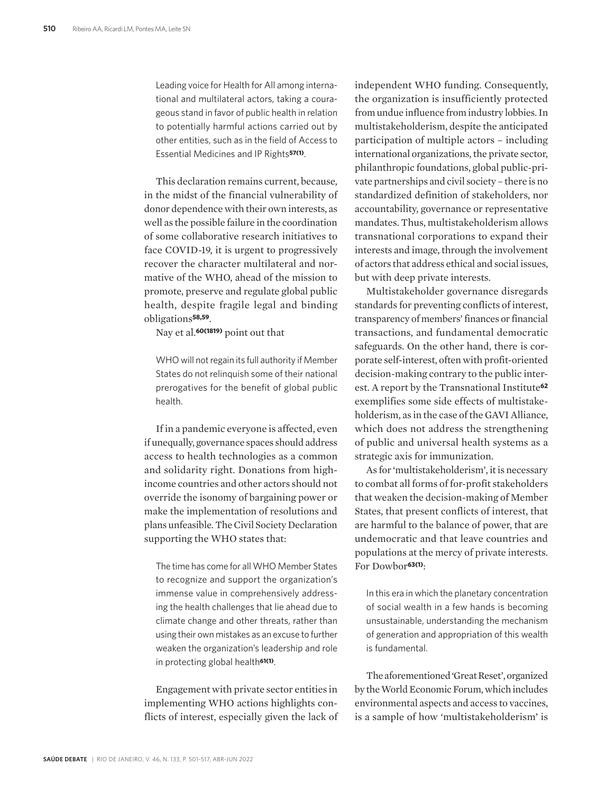Leading voice for Health for All among international and multilateral actors, taking a courageous stand in favor of public health in relation to potentially harmful actions carried out by other entities, such as in the field of Access to Essential Medicines and IP Rights**57(1)**.

This declaration remains current, because, in the midst of the financial vulnerability of donor dependence with their own interests, as well as the possible failure in the coordination of some collaborative research initiatives to face COVID-19, it is urgent to progressively recover the character multilateral and normative of the WHO, ahead of the mission to promote, preserve and regulate global public health, despite fragile legal and binding obligations**58,59**.

Nay et al.**60(1819)** point out that

WHO will not regain its full authority if Member States do not relinquish some of their national prerogatives for the benefit of global public health.

If in a pandemic everyone is affected, even if unequally, governance spaces should address access to health technologies as a common and solidarity right. Donations from highincome countries and other actors should not override the isonomy of bargaining power or make the implementation of resolutions and plans unfeasible. The Civil Society Declaration supporting the WHO states that:

The time has come for all WHO Member States to recognize and support the organization's immense value in comprehensively addressing the health challenges that lie ahead due to climate change and other threats, rather than using their own mistakes as an excuse to further weaken the organization's leadership and role in protecting global health**61(1)**.

Engagement with private sector entities in implementing WHO actions highlights conflicts of interest, especially given the lack of

independent WHO funding. Consequently, the organization is insufficiently protected from undue influence from industry lobbies. In multistakeholderism, despite the anticipated participation of multiple actors – including international organizations, the private sector, philanthropic foundations, global public-private partnerships and civil society – there is no standardized definition of stakeholders, nor accountability, governance or representative mandates. Thus, multistakeholderism allows transnational corporations to expand their interests and image, through the involvement of actors that address ethical and social issues, but with deep private interests.

Multistakeholder governance disregards standards for preventing conflicts of interest, transparency of members' finances or financial transactions, and fundamental democratic safeguards. On the other hand, there is corporate self-interest, often with profit-oriented decision-making contrary to the public interest. A report by the Transnational Institute**<sup>62</sup>** exemplifies some side effects of multistakeholderism, as in the case of the GAVI Alliance, which does not address the strengthening of public and universal health systems as a strategic axis for immunization.

As for 'multistakeholderism', it is necessary to combat all forms of for-profit stakeholders that weaken the decision-making of Member States, that present conflicts of interest, that are harmful to the balance of power, that are undemocratic and that leave countries and populations at the mercy of private interests. For Dowbor**63(1)**:

In this era in which the planetary concentration of social wealth in a few hands is becoming unsustainable, understanding the mechanism of generation and appropriation of this wealth is fundamental.

The aforementioned 'Great Reset', organized by the World Economic Forum, which includes environmental aspects and access to vaccines, is a sample of how 'multistakeholderism' is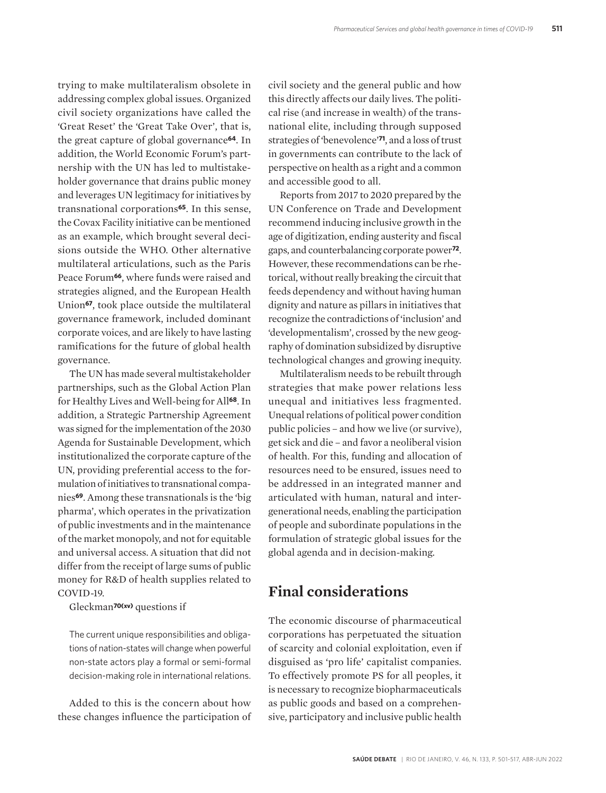trying to make multilateralism obsolete in addressing complex global issues. Organized civil society organizations have called the 'Great Reset' the 'Great Take Over', that is, the great capture of global governance**64**. In addition, the World Economic Forum's partnership with the UN has led to multistakeholder governance that drains public money and leverages UN legitimacy for initiatives by transnational corporations**65**. In this sense, the Covax Facility initiative can be mentioned as an example, which brought several decisions outside the WHO. Other alternative multilateral articulations, such as the Paris Peace Forum**66**, where funds were raised and strategies aligned, and the European Health Union**67**, took place outside the multilateral governance framework, included dominant corporate voices, and are likely to have lasting ramifications for the future of global health governance.

The UN has made several multistakeholder partnerships, such as the Global Action Plan for Healthy Lives and Well-being for All**68**. In addition, a Strategic Partnership Agreement was signed for the implementation of the 2030 Agenda for Sustainable Development, which institutionalized the corporate capture of the UN, providing preferential access to the formulation of initiatives to transnational companies**69**. Among these transnationals is the 'big pharma', which operates in the privatization of public investments and in the maintenance of the market monopoly, and not for equitable and universal access. A situation that did not differ from the receipt of large sums of public money for R&D of health supplies related to COVID-19.

Gleckman**70(xv)** questions if

The current unique responsibilities and obligations of nation-states will change when powerful non-state actors play a formal or semi-formal decision-making role in international relations.

Added to this is the concern about how these changes influence the participation of civil society and the general public and how this directly affects our daily lives. The political rise (and increase in wealth) of the transnational elite, including through supposed strategies of 'benevolence'**71**, and a loss of trust in governments can contribute to the lack of perspective on health as a right and a common and accessible good to all.

Reports from 2017 to 2020 prepared by the UN Conference on Trade and Development recommend inducing inclusive growth in the age of digitization, ending austerity and fiscal gaps, and counterbalancing corporate power**72**. However, these recommendations can be rhetorical, without really breaking the circuit that feeds dependency and without having human dignity and nature as pillars in initiatives that recognize the contradictions of 'inclusion' and 'developmentalism', crossed by the new geography of domination subsidized by disruptive technological changes and growing inequity.

Multilateralism needs to be rebuilt through strategies that make power relations less unequal and initiatives less fragmented. Unequal relations of political power condition public policies – and how we live (or survive), get sick and die – and favor a neoliberal vision of health. For this, funding and allocation of resources need to be ensured, issues need to be addressed in an integrated manner and articulated with human, natural and intergenerational needs, enabling the participation of people and subordinate populations in the formulation of strategic global issues for the global agenda and in decision-making.

### **Final considerations**

The economic discourse of pharmaceutical corporations has perpetuated the situation of scarcity and colonial exploitation, even if disguised as 'pro life' capitalist companies. To effectively promote PS for all peoples, it is necessary to recognize biopharmaceuticals as public goods and based on a comprehensive, participatory and inclusive public health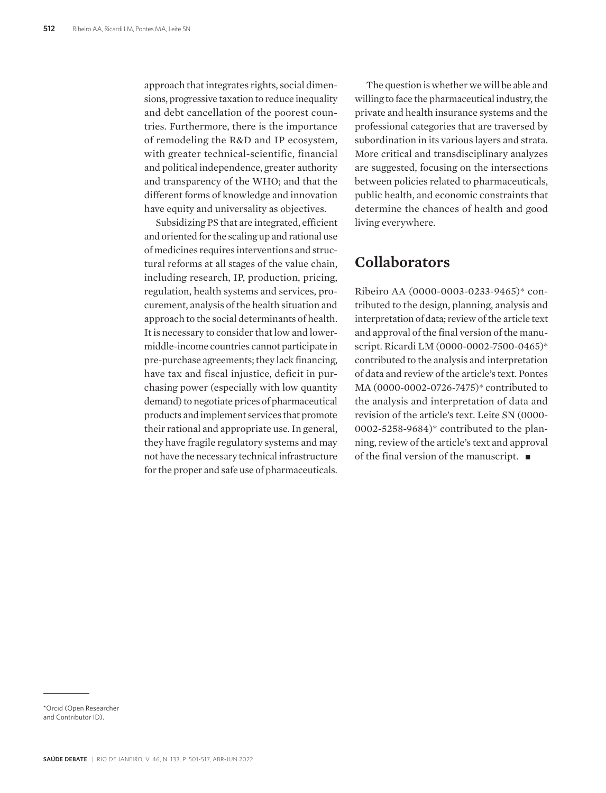approach that integrates rights, social dimensions, progressive taxation to reduce inequality and debt cancellation of the poorest countries. Furthermore, there is the importance of remodeling the R&D and IP ecosystem, with greater technical-scientific, financial and political independence, greater authority and transparency of the WHO; and that the different forms of knowledge and innovation have equity and universality as objectives.

Subsidizing PS that are integrated, efficient and oriented for the scaling up and rational use of medicines requires interventions and structural reforms at all stages of the value chain, including research, IP, production, pricing, regulation, health systems and services, procurement, analysis of the health situation and approach to the social determinants of health. It is necessary to consider that low and lowermiddle-income countries cannot participate in pre-purchase agreements; they lack financing, have tax and fiscal injustice, deficit in purchasing power (especially with low quantity demand) to negotiate prices of pharmaceutical products and implement services that promote their rational and appropriate use. In general, they have fragile regulatory systems and may not have the necessary technical infrastructure for the proper and safe use of pharmaceuticals.

The question is whether we will be able and willing to face the pharmaceutical industry, the private and health insurance systems and the professional categories that are traversed by subordination in its various layers and strata. More critical and transdisciplinary analyzes are suggested, focusing on the intersections between policies related to pharmaceuticals, public health, and economic constraints that determine the chances of health and good living everywhere.

### **Collaborators**

Ribeiro AA (0000-0003-0233-9465)\* contributed to the design, planning, analysis and interpretation of data; review of the article text and approval of the final version of the manuscript. Ricardi LM (0000-0002-7500-0465)\* contributed to the analysis and interpretation of data and review of the article's text. Pontes MA (0000-0002-0726-7475)\* contributed to the analysis and interpretation of data and revision of the article's text. Leite SN (0000- 0002-5258-9684)\* contributed to the planning, review of the article's text and approval of the final version of the manuscript.  $\blacksquare$ 

\*Orcid (Open Researcher and Contributor ID).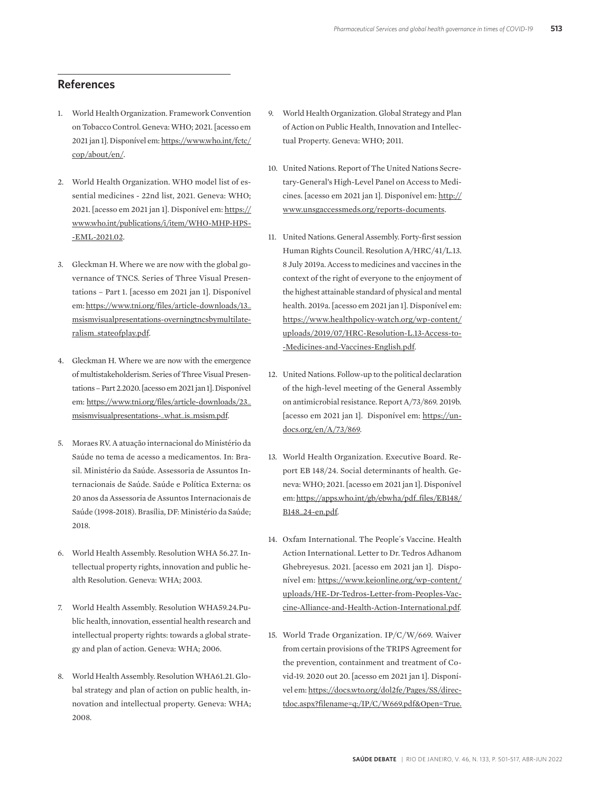### **References**

- 1. World Health Organization. Framework Convention on Tobacco Control. Geneva: WHO; 2021. [acesso em 2021 jan 1]. Disponível em: https://www.who.int/fctc/ cop/about/en/.
- 2. World Health Organization. WHO model list of essential medicines - 22nd list, 2021. Geneva: WHO; 2021. [acesso em 2021 jan 1]. Disponível em: https:// www.who.int/publications/i/item/WHO-MHP-HPS- -EML-2021.02.
- 3. Gleckman H. Where we are now with the global governance of TNCS. Series of Three Visual Presentations – Part 1. [acesso em 2021 jan 1]. Disponível em: https://www.tni.org/files/article-downloads/13\_ msismvisualpresentations-overningtncsbymultilateralism\_stateofplay.pdf.
- 4. Gleckman H. Where we are now with the emergence of multistakeholderism. Series of Three Visual Presentations – Part 2.2020. [acesso em 2021 jan 1]. Disponível em: https://www.tni.org/files/article-downloads/23\_ msismvisualpresentations-\_what\_is\_msism.pdf.
- 5. Moraes RV. A atuação internacional do Ministério da Saúde no tema de acesso a medicamentos. In: Brasil. Ministério da Saúde. Assessoria de Assuntos Internacionais de Saúde. Saúde e Política Externa: os 20 anos da Assessoria de Assuntos Internacionais de Saúde (1998-2018). Brasília, DF: Ministério da Saúde; 2018.
- 6. World Health Assembly. Resolution WHA 56.27. Intellectual property rights, innovation and public health Resolution. Geneva: WHA; 2003.
- 7. World Health Assembly. Resolution WHA59.24.Public health, innovation, essential health research and intellectual property rights: towards a global strategy and plan of action. Geneva: WHA; 2006.
- 8. World Health Assembly. Resolution WHA61.21. Global strategy and plan of action on public health, innovation and intellectual property. Geneva: WHA; 2008.
- 9. World Health Organization. Global Strategy and Plan of Action on Public Health, Innovation and Intellectual Property. Geneva: WHO; 2011.
- 10. United Nations. Report of The United Nations Secretary-General's High-Level Panel on Access to Medicines. [acesso em 2021 jan 1]. Disponível em: http:// www.unsgaccessmeds.org/reports-documents.
- 11. United Nations. General Assembly. Forty-first session Human Rights Council. Resolution A/HRC/41/L.13. 8 July 2019a. Access to medicines and vaccines in the context of the right of everyone to the enjoyment of the highest attainable standard of physical and mental health. 2019a. [acesso em 2021 jan 1]. Disponível em: https://www.healthpolicy-watch.org/wp-content/ uploads/2019/07/HRC-Resolution-L.13-Access-to- -Medicines-and-Vaccines-English.pdf.
- 12. United Nations. Follow-up to the political declaration of the high-level meeting of the General Assembly on antimicrobial resistance. Report A/73/869. 2019b. [acesso em 2021 jan 1]. Disponível em: https://undocs.org/en/A/73/869.
- 13. World Health Organization. Executive Board. Report EB 148/24. Social determinants of health. Geneva: WHO; 2021. [acesso em 2021 jan 1]. Disponível em: https://apps.who.int/gb/ebwha/pdf\_files/EB148/ B148\_24-en.pdf.
- 14. Oxfam International. The People´s Vaccine. Health Action International. Letter to Dr. Tedros Adhanom Ghebreyesus. 2021. [acesso em 2021 jan 1]. Disponível em: https://www.keionline.org/wp-content/ uploads/HE-Dr-Tedros-Letter-from-Peoples-Vaccine-Alliance-and-Health-Action-International.pdf.
- 15. World Trade Organization. IP/C/W/669. Waiver from certain provisions of the TRIPS Agreement for the prevention, containment and treatment of Covid-19. 2020 out 20. [acesso em 2021 jan 1]. Disponível em: https://docs.wto.org/dol2fe/Pages/SS/directdoc.aspx?filename=q:/IP/C/W669.pdf&Open=True.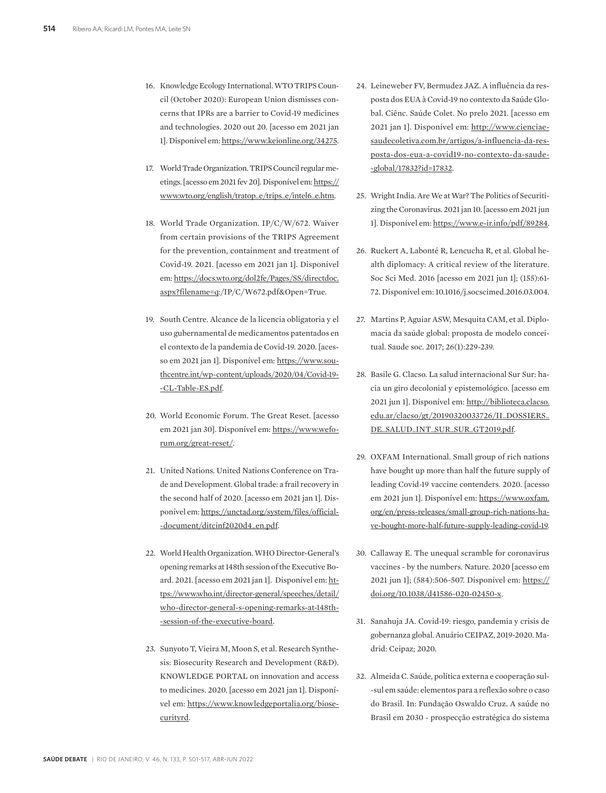- 16. Knowledge Ecology International. WTO TRIPS Council (October 2020): European Union dismisses concerns that IPRs are a barrier to Covid-19 medicines and technologies. 2020 out 20. [acesso em 2021 jan 1]. Disponível em: https://www.keionline.org/34275.
- 17. World Trade Organization. TRIPS Council regular meetings. [acesso em 2021 fev 20]. Disponível em: https:// www.wto.org/english/tratop\_e/trips\_e/intel6\_e.htm.
- 18. World Trade Organization. IP/C/W/672. Waiver from certain provisions of the TRIPS Agreement for the prevention, containment and treatment of Covid-19. 2021. [acesso em 2021 jan 1]. Disponível em: https://docs.wto.org/dol2fe/Pages/SS/directdoc. aspx?filename=q:/IP/C/W672.pdf&Open=True.
- 19. South Centre. Alcance de la licencia obligatoria y el uso gubernamental de medicamentos patentados en el contexto de la pandemia de Covid-19. 2020. [acesso em 2021 jan 1]. Disponível em: https://www.southcentre.int/wp-content/uploads/2020/04/Covid-19- -CL-Table-ES.pdf.
- 20. World Economic Forum. The Great Reset. [acesso em 2021 jan 30]. Disponível em: https://www.weforum.org/great-reset/.
- 21. United Nations. United Nations Conference on Trade and Development. Global trade: a frail recovery in the second half of 2020. [acesso em 2021 jan 1]. Disponível em: https://unctad.org/system/files/official- -document/ditcinf2020d4\_en.pdf.
- 22. World Health Organization. WHO Director-General's opening remarks at 148th session of the Executive Board. 2021. [acesso em 2021 jan 1]. Disponível em: https://www.who.int/director-general/speeches/detail/ who-director-general-s-opening-remarks-at-148th- -session-of-the-executive-board.
- 23. Sunyoto T, Vieira M, Moon S, et al. Research Synthesis: Biosecurity Research and Development (R&D). KNOWLEDGE PORTAL on innovation and access to medicines. 2020. [acesso em 2021 jan 1]. Disponível em: https://www.knowledgeportalia.org/biosecurityrd.
- 24. Leineweber FV, Bermudez JAZ. A influência da resposta dos EUA à Covid-19 no contexto da Saúde Global. Ciênc. Saúde Colet. No prelo 2021. [acesso em 2021 jan 1]. Disponível em: http://www.cienciaesaudecoletiva.com.br/artigos/a-influencia-da-resposta-dos-eua-a-covid19-no-contexto-da-saude- -global/17832?id=17832.
- 25. Wright India. Are We at War? The Politics of Securitizing the Coronavirus. 2021 jan 10. [acesso em 2021 jun 1]. Disponível em: https://www.e-ir.info/pdf/89284.
- 26. Ruckert A, Labonté R, Lencucha R, et al. Global health diplomacy: A critical review of the literature. Soc Sci Med. 2016 [acesso em 2021 jun 1]; (155):61- 72. Disponível em: 10.1016/j.socscimed.2016.03.004.
- 27. Martins P, Aguiar ASW, Mesquita CAM, et al. Diplomacia da saúde global: proposta de modelo conceitual. Saude soc. 2017; 26(1):229-239.
- 28. Basile G. Clacso. La salud internacional Sur Sur: hacia un giro decolonial y epistemológico. [acesso em 2021 jun 1]. Disponível em: http://biblioteca.clacso. edu.ar/clacso/gt/20190320033726/II\_DOSSIERS\_ DE\_SALUD\_INT\_SUR\_SUR\_GT2019.pdf.
- 29. OXFAM International. Small group of rich nations have bought up more than half the future supply of leading Covid-19 vaccine contenders. 2020. [acesso em 2021 jun 1]. Disponível em: https://www.oxfam. org/en/press-releases/small-group-rich-nations-have-bought-more-half-future-supply-leading-covid-19.
- 30. Callaway E. The unequal scramble for coronavirus vaccines - by the numbers. Nature. 2020 [acesso em 2021 jun 1]; (584):506-507. Disponível em: https:// doi.org/10.1038/d41586-020-02450-x.
- 31. Sanahuja JA. Covid-19: riesgo, pandemia y crisis de gobernanza global. Anuário CEIPAZ, 2019-2020. Madrid: Ceipaz; 2020.
- 32. Almeida C. Saúde, política externa e cooperação sul- -sul em saúde: elementos para a reflexão sobre o caso do Brasil. In: Fundação Oswaldo Cruz. A saúde no Brasil em 2030 - prospecção estratégica do sistema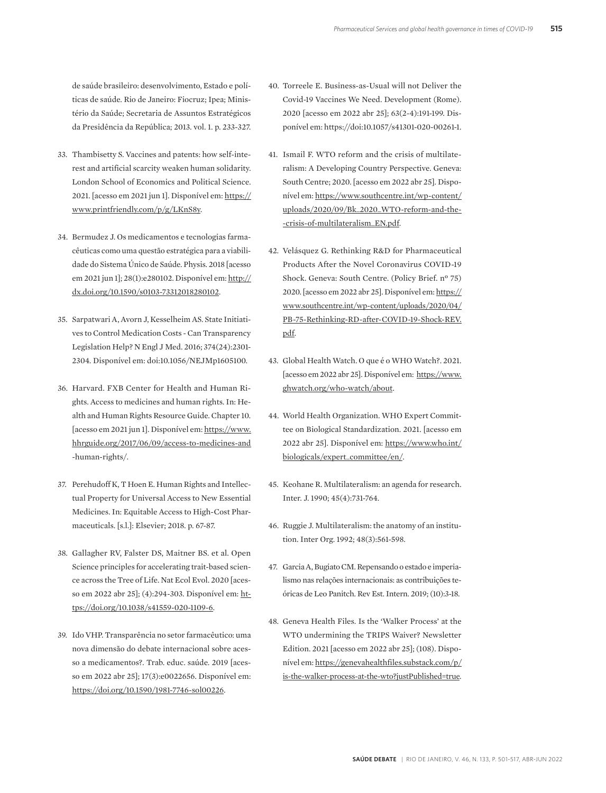de saúde brasileiro: desenvolvimento, Estado e políticas de saúde. Rio de Janeiro: Fiocruz; Ipea; Ministério da Saúde; Secretaria de Assuntos Estratégicos da Presidência da República; 2013. vol. 1. p. 233-327.

- 33. Thambisetty S. Vaccines and patents: how self-interest and artificial scarcity weaken human solidarity. London School of Economics and Political Science. 2021. [acesso em 2021 jun 1]. Disponível em: https:// www.printfriendly.com/p/g/LKnS8y.
- 34. Bermudez J. Os medicamentos e tecnologias farmacêuticas como uma questão estratégica para a viabilidade do Sistema Único de Saúde. Physis. 2018 [acesso em 2021 jun 1]; 28(1):e280102. Disponível em: http:// dx.doi.org/10.1590/s0103-73312018280102.
- 35. Sarpatwari A, Avorn J, Kesselheim AS. State Initiatives to Control Medication Costs - Can Transparency Legislation Help? N Engl J Med. 2016; 374(24):2301- 2304. Disponível em: doi:10.1056/NEJMp1605100.
- 36. Harvard. FXB Center for Health and Human Rights. Access to medicines and human rights. In: Health and Human Rights Resource Guide. Chapter 10. [acesso em 2021 jun 1]. Disponível em: https://www. hhrguide.org/2017/06/09/access-to-medicines-and -human-rights/.
- 37. Perehudoff K, T Hoen E. Human Rights and Intellectual Property for Universal Access to New Essential Medicines. In: Equitable Access to High-Cost Pharmaceuticals. [s.l.]: Elsevier; 2018. p. 67-87.
- 38. Gallagher RV, Falster DS, Maitner BS. et al. Open Science principles for accelerating trait-based science across the Tree of Life. Nat Ecol Evol. 2020 [acesso em 2022 abr 25]; (4):294-303. Disponível em: https://doi.org/10.1038/s41559-020-1109-6.
- 39. Ido VHP. Transparência no setor farmacêutico: uma nova dimensão do debate internacional sobre acesso a medicamentos?. Trab. educ. saúde. 2019 [acesso em 2022 abr 25]; 17(3):e0022656. Disponível em: https://doi.org/10.1590/1981-7746-sol00226.
- 40. Torreele E. Business-as-Usual will not Deliver the Covid-19 Vaccines We Need. Development (Rome). 2020 [acesso em 2022 abr 25]; 63(2-4):191-199. Disponível em: https://doi:10.1057/s41301-020-00261-1.
- 41. Ismail F. WTO reform and the crisis of multilateralism: A Developing Country Perspective. Geneva: South Centre; 2020. [acesso em 2022 abr 25]. Disponível em: https://www.southcentre.int/wp-content/ uploads/2020/09/Bk\_2020\_WTO-reform-and-the- -crisis-of-multilateralism\_EN.pdf.
- 42. Velásquez G. Rethinking R&D for Pharmaceutical Products After the Novel Coronavirus COVID-19 Shock. Geneva: South Centre. (Policy Brief. nº 75) 2020. [acesso em 2022 abr 25]. Disponível em: https:// www.southcentre.int/wp-content/uploads/2020/04/ PB-75-Rethinking-RD-after-COVID-19-Shock-REV. pdf.
- 43. Global Health Watch. O que é o WHO Watch?. 2021. [acesso em 2022 abr 25]. Disponível em: https://www. ghwatch.org/who-watch/about.
- 44. World Health Organization. WHO Expert Committee on Biological Standardization. 2021. [acesso em 2022 abr 25]. Disponível em: https://www.who.int/ biologicals/expert\_committee/en/.
- 45. Keohane R. Multilateralism: an agenda for research. Inter. J. 1990; 45(4):731-764.
- 46. Ruggie J. Multilateralism: the anatomy of an institution. Inter Org. 1992; 48(3):561-598.
- 47. Garcia A, Bugiato CM. Repensando o estado e imperialismo nas relações internacionais: as contribuições teóricas de Leo Panitch. Rev Est. Intern. 2019; (10):3-18.
- 48. Geneva Health Files. Is the 'Walker Process' at the WTO undermining the TRIPS Waiver? Newsletter Edition. 2021 [acesso em 2022 abr 25]; (108). Disponível em: https://genevahealthfiles.substack.com/p/ is-the-walker-process-at-the-wto?justPublished=true.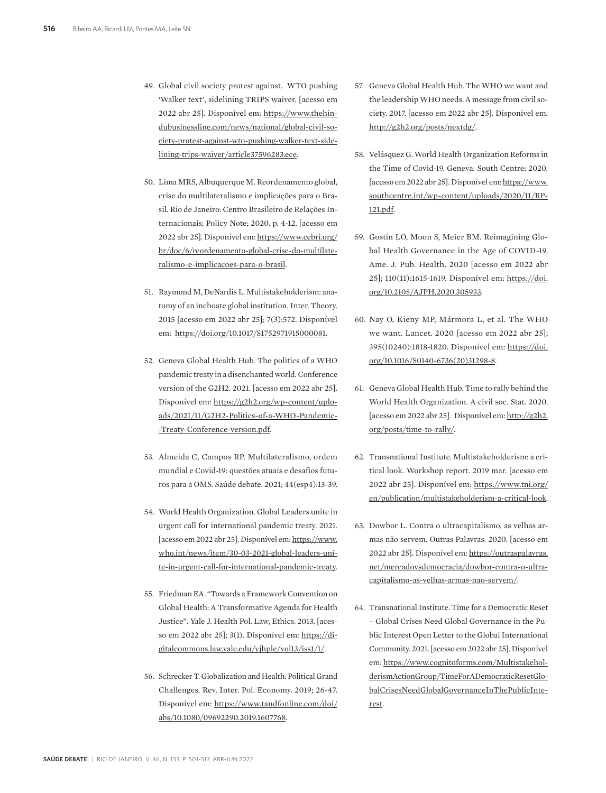- 49. Global civil society protest against. WTO pushing 'Walker text', sidelining TRIPS waiver. [acesso em 2022 abr 25]. Disponível em: https://www.thehindubusinessline.com/news/national/global-civil-society-protest-against-wto-pushing-walker-text-sidelining-trips-waiver/article37596283.ece.
- 50. Lima MRS, Albuquerque M. Reordenamento global, crise do multilateralismo e implicações para o Brasil. Rio de Janeiro: Centro Brasileiro de Relações Internacionais; Policy Note; 2020. p. 4-12. [acesso em 2022 abr 25]. Disponível em: https://www.cebri.org/ br/doc/6/reordenamento-global-crise-do-multilateralismo-e-implicacoes-para-o-brasil.
- 51. Raymond M, DeNardis L. Multistakeholderism: anatomy of an inchoate global institution. Inter. Theory. 2015 [acesso em 2022 abr 25]; 7(3):572. Disponível em: https://doi.org/10.1017/S1752971915000081.
- 52. Geneva Global Health Hub. The politics of a WHO pandemic treaty in a disenchanted world. Conference version of the G2H2. 2021. [acesso em 2022 abr 25]. Disponível em: https://g2h2.org/wp-content/uploads/2021/11/G2H2-Politics-of-a-WHO-Pandemic- -Treaty-Conference-version.pdf.
- 53. Almeida C, Campos RP. Multilateralismo, ordem mundial e Covid-19: questões atuais e desafios futuros para a OMS. Saúde debate. 2021; 44(esp4):13-39.
- 54. World Health Organization. Global Leaders unite in urgent call for international pandemic treaty. 2021. [acesso em 2022 abr 25]. Disponível em: https://www. who.int/news/item/30-03-2021-global-leaders-unite-in-urgent-call-for-international-pandemic-treaty.
- 55. Friedman EA. "Towards a Framework Convention on Global Health: A Transformative Agenda for Health Justice". Yale J. Health Pol. Law, Ethics. 2013. [acesso em 2022 abr 25]; 3(1). Disponível em: https://digitalcommons.law.yale.edu/yjhple/vol13/iss1/1/.
- 56. Schrecker T. Globalization and Health: Political Grand Challenges. Rev. Inter. Pol. Economy. 2019; 26-47. Disponível em: https://www.tandfonline.com/doi/ abs/10.1080/09692290.2019.1607768.
- 57. Geneva Global Health Hub. The WHO we want and the leadership WHO needs. A message from civil society. 2017. [acesso em 2022 abr 25]. Disponível em: http://g2h2.org/posts/nextdg/.
- 58. Velásquez G. World Health Organization Reforms in the Time of Covid-19. Geneva: South Centre; 2020. [acesso em 2022 abr 25]. Disponível em: https://www. southcentre.int/wp-content/uploads/2020/11/RP-121.pdf.
- 59. Gostin LO, Moon S, Meier BM. Reimagining Global Health Governance in the Age of COVID-19. Ame. J. Pub. Health. 2020 [acesso em 2022 abr 25]; 110(11):1615-1619. Disponível em: https://doi. org/10.2105/AJPH.2020.305933.
- 60. Nay O, Kieny MP, Mármora L, et al. The WHO we want. Lancet. 2020 [acesso em 2022 abr 25]; 395(10240):1818-1820. Disponível em: https://doi. org/10.1016/S0140-6736(20)31298-8.
- 61. Geneva Global Health Hub. Time to rally behind the World Health Organization. A civil soc. Stat. 2020. [acesso em 2022 abr 25]. Disponível em: http://g2h2. org/posts/time-to-rally/.
- 62. Transnational Institute. Multistakeholderism: a critical look. Workshop report. 2019 mar. [acesso em 2022 abr 25]. Disponível em: https://www.tni.org/ en/publication/multistakeholderism-a-critical-look.
- 63. Dowbor L. Contra o ultracapitalismo, as velhas armas não servem. Outras Palavras. 2020. [acesso em 2022 abr 25]. Disponível em: https://outraspalavras. net/mercadovsdemocracia/dowbor-contra-o-ultracapitalismo-as-velhas-armas-nao-servem/.
- 64. Transnational Institute. Time for a Democratic Reset – Global Crises Need Global Governance in the Public Interest Open Letter to the Global International Community. 2021. [acesso em 2022 abr 25]. Disponível em: https://www.cognitoforms.com/MultistakeholderismActionGroup/TimeForADemocraticResetGlobalCrisesNeedGlobalGovernanceInThePublicInterest.